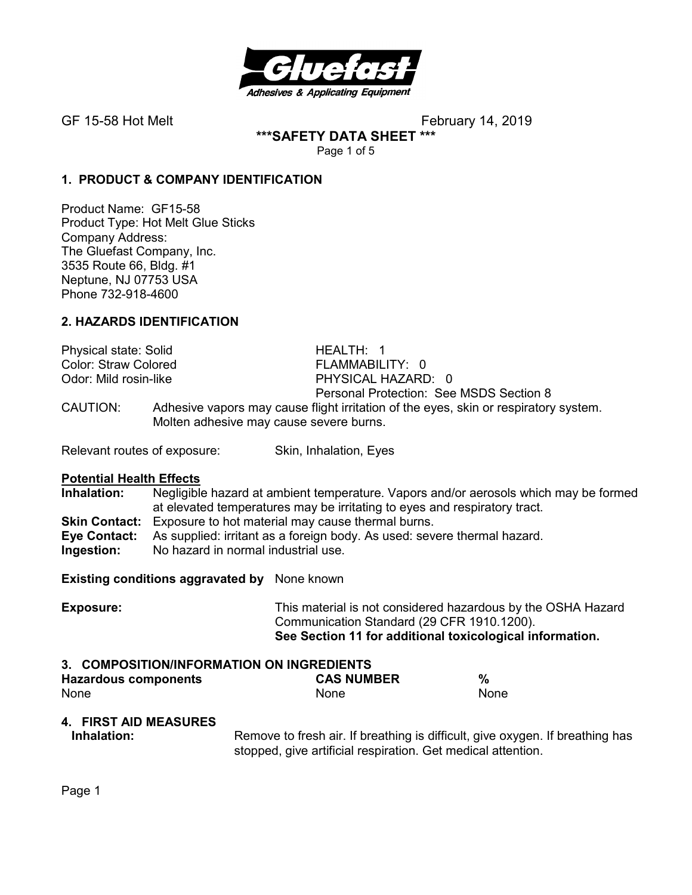

**\*\*\*SAFETY DATA SHEET \*\*\*** 

Page 1 of 5

## **1. PRODUCT & COMPANY IDENTIFICATION**

Product Name: GF15-58 Product Type: Hot Melt Glue Sticks Company Address: The Gluefast Company, Inc. 3535 Route 66, Bldg. #1 Neptune, NJ 07753 USA Phone 732-918-4600

## **2. HAZARDS IDENTIFICATION**

| Physical state: Solid       |                                                                                                                                 | HEALTH: 1                               |
|-----------------------------|---------------------------------------------------------------------------------------------------------------------------------|-----------------------------------------|
| <b>Color: Straw Colored</b> |                                                                                                                                 | FLAMMABILITY: 0                         |
| Odor: Mild rosin-like       |                                                                                                                                 | PHYSICAL HAZARD: 0                      |
|                             |                                                                                                                                 | Personal Protection: See MSDS Section 8 |
| CAUTION:                    | Adhesive vapors may cause flight irritation of the eyes, skin or respiratory system.<br>Molten adhesive may cause severe burns. |                                         |

Relevant routes of exposure: Skin, Inhalation, Eyes

**Potential Health Effects Inhalation:** Negligible hazard at ambient temperature. Vapors and/or aerosols which may be formed at elevated temperatures may be irritating to eyes and respiratory tract. **Skin Contact:** Exposure to hot material may cause thermal burns. **Eye Contact:** As supplied: irritant as a foreign body. As used: severe thermal hazard. **Ingestion:** No hazard in normal industrial use.

**Existing conditions aggravated by** None known

**Exposure:** This material is not considered hazardous by the OSHA Hazard Communication Standard (29 CFR 1910.1200). **See Section 11 for additional toxicological information.** 

# **3. COMPOSITION/INFORMATION ON INGREDIENTS**

| <b>Hazardous components</b> | <b>CAS NUMBER</b> |      |
|-----------------------------|-------------------|------|
| <b>None</b>                 | None              | None |

# **4. FIRST AID MEASURES**

**Inhalation:** Remove to fresh air. If breathing is difficult, give oxygen. If breathing has stopped, give artificial respiration. Get medical attention.

Page 1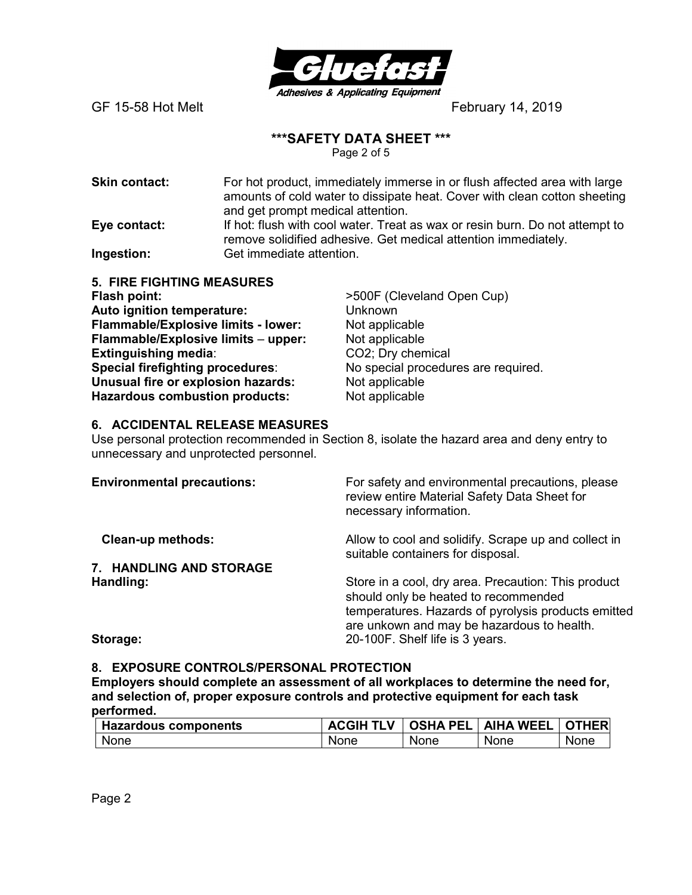

### **\*\*\*SAFETY DATA SHEET \*\*\***

Page 2 of 5

**Skin contact:** For hot product, immediately immerse in or flush affected area with large amounts of cold water to dissipate heat. Cover with clean cotton sheeting and get prompt medical attention. **Eye contact:** If hot: flush with cool water. Treat as wax or resin burn. Do not attempt to remove solidified adhesive. Get medical attention immediately.

**Ingestion:** Get immediate attention.

**5. FIRE FIGHTING MEASURES Flash point:**  $>500F$  (Cleveland Open Cup) **Auto ignition temperature:** Unknown **Flammable/Explosive limits - lower:** Not applicable **Flammable/Explosive limits – upper:** Not applicable<br> **Extinguishing media**: CO2; Dry chemical **Extinguishing media: Special firefighting procedures**: No special procedures are required. **Unusual fire or explosion hazards:** Not applicable **Hazardous combustion products:** Not applicable

### **6. ACCIDENTAL RELEASE MEASURES**

Use personal protection recommended in Section 8, isolate the hazard area and deny entry to unnecessary and unprotected personnel.

| <b>Environmental precautions:</b> | For safety and environmental precautions, please<br>review entire Material Safety Data Sheet for<br>necessary information.                                                                       |
|-----------------------------------|--------------------------------------------------------------------------------------------------------------------------------------------------------------------------------------------------|
| <b>Clean-up methods:</b>          | Allow to cool and solidify. Scrape up and collect in<br>suitable containers for disposal.                                                                                                        |
| 7. HANDLING AND STORAGE           |                                                                                                                                                                                                  |
| Handling:                         | Store in a cool, dry area. Precaution: This product<br>should only be heated to recommended<br>temperatures. Hazards of pyrolysis products emitted<br>are unkown and may be hazardous to health. |
| Storage:                          | 20-100F. Shelf life is 3 years.                                                                                                                                                                  |

### **8. EXPOSURE CONTROLS/PERSONAL PROTECTION**

**Employers should complete an assessment of all workplaces to determine the need for, and selection of, proper exposure controls and protective equipment for each task performed.** 

| <b>Hazardous components</b> |      |      | <b>ACGIH TLV   OSHA PEL   AIHA WEEL   OTHER</b> |             |
|-----------------------------|------|------|-------------------------------------------------|-------------|
| None                        | None | None | None                                            | <b>None</b> |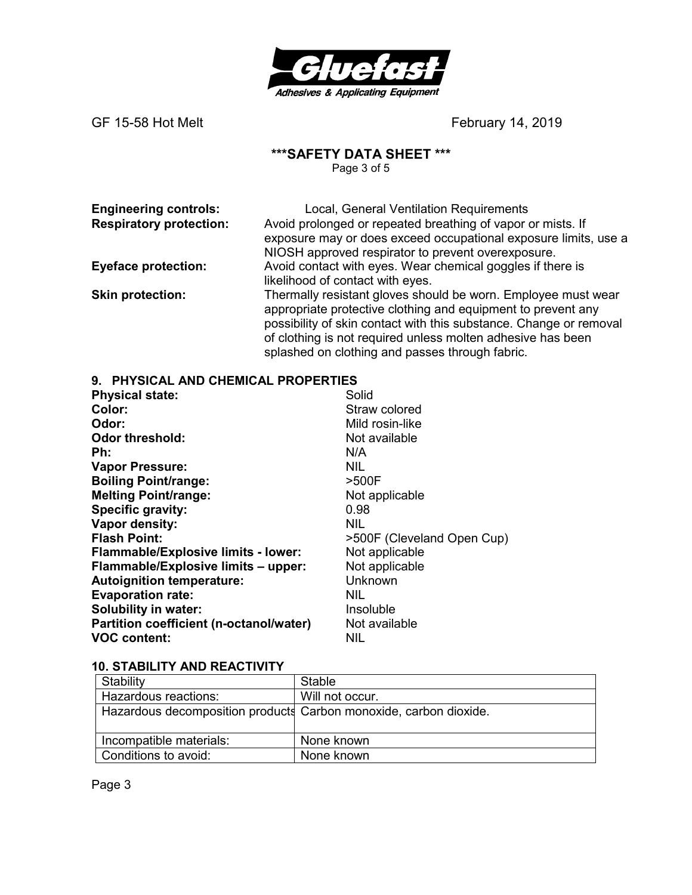

## **\*\*\*SAFETY DATA SHEET \*\*\***

Page 3 of 5

**Engineering controls:** Local, General Ventilation Requirements<br> **Respiratory protection:** Avoid prolonged or repeated breathing of vapor of Avoid prolonged or repeated breathing of vapor or mists. If exposure may or does exceed occupational exposure limits, use a NIOSH approved respirator to prevent overexposure. **Eyeface protection:** Avoid contact with eyes. Wear chemical goggles if there is likelihood of contact with eyes.

**Skin protection:** Thermally resistant gloves should be worn. Employee must wear appropriate protective clothing and equipment to prevent any possibility of skin contact with this substance. Change or removal of clothing is not required unless molten adhesive has been splashed on clothing and passes through fabric.

### **9. PHYSICAL AND CHEMICAL PROPERTIES**

| <b>Physical state:</b>                     | Solid                      |
|--------------------------------------------|----------------------------|
| Color:                                     | Straw colored              |
| Odor:                                      | Mild rosin-like            |
| <b>Odor threshold:</b>                     | Not available              |
| Ph:                                        | N/A                        |
| <b>Vapor Pressure:</b>                     | NIL.                       |
| <b>Boiling Point/range:</b>                | >500F                      |
| <b>Melting Point/range:</b>                | Not applicable             |
| Specific gravity:                          | 0.98                       |
| Vapor density:                             | <b>NIL</b>                 |
| <b>Flash Point:</b>                        | >500F (Cleveland Open Cup) |
| <b>Flammable/Explosive limits - lower:</b> | Not applicable             |
| Flammable/Explosive limits - upper:        | Not applicable             |
| <b>Autoignition temperature:</b>           | Unknown                    |
| <b>Evaporation rate:</b>                   | <b>NIL</b>                 |
| <b>Solubility in water:</b>                | Insoluble                  |
| Partition coefficient (n-octanol/water)    | Not available              |
| <b>VOC content:</b>                        | NIL                        |

### **10. STABILITY AND REACTIVITY**

| Stability                                                         | Stable          |  |
|-------------------------------------------------------------------|-----------------|--|
| Hazardous reactions:                                              | Will not occur. |  |
| Hazardous decomposition products Carbon monoxide, carbon dioxide. |                 |  |
|                                                                   |                 |  |
| Incompatible materials:                                           | None known      |  |
| Conditions to avoid:                                              | None known      |  |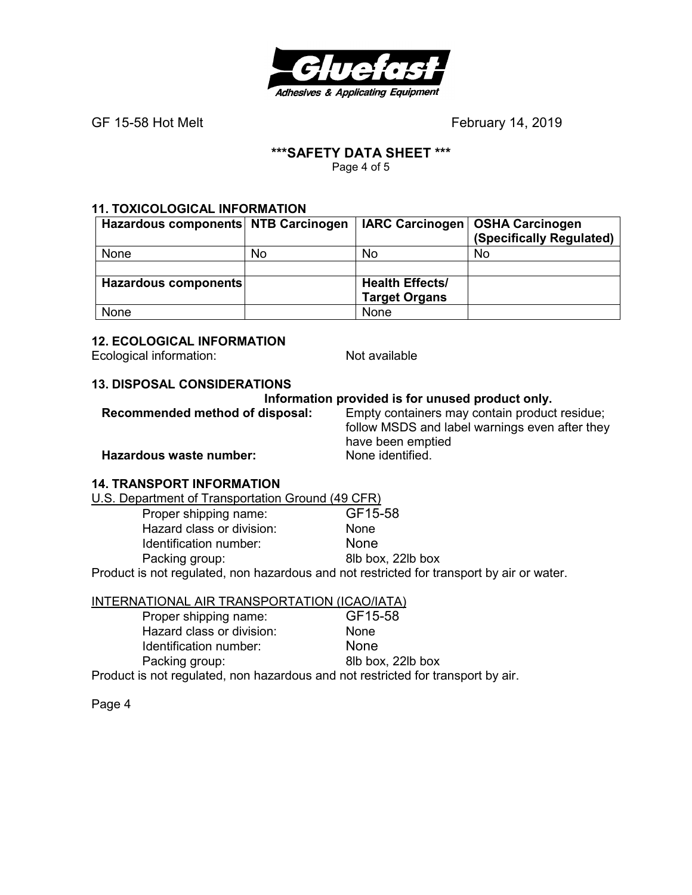

# **\*\*\*SAFETY DATA SHEET \*\*\***

Page 4 of 5

# **11. TOXICOLOGICAL INFORMATION**

| Hazardous components NTB Carcinogen |    |                        | IARC Carcinogen   OSHA Carcinogen<br>(Specifically Regulated) |
|-------------------------------------|----|------------------------|---------------------------------------------------------------|
| None                                | No | No                     | No                                                            |
|                                     |    |                        |                                                               |
| Hazardous components                |    | <b>Health Effects/</b> |                                                               |
|                                     |    | <b>Target Organs</b>   |                                                               |
| None                                |    | None                   |                                                               |

# **12. ECOLOGICAL INFORMATION**

Ecological information: Not available

# **13. DISPOSAL CONSIDERATIONS**

## **Information provided is for unused product only.**

**Recommended method of disposal:** Empty containers may contain product residue; follow MSDS and label warnings even after they have been emptied<br>None identified.

**Hazardous waste number:** 

### **14. TRANSPORT INFORMATION**

U.S. Department of Transportation Ground (49 CFR)

| GF15-58                                                                                   |
|-------------------------------------------------------------------------------------------|
| None                                                                                      |
| <b>None</b>                                                                               |
| 8lb box, 22lb box                                                                         |
| Product is not regulated, non hazardous and not restricted for transport by air or water. |
|                                                                                           |

# INTERNATIONAL AIR TRANSPORTATION (ICAO/IATA)

| Proper shipping name:                                                            | GF15-58           |
|----------------------------------------------------------------------------------|-------------------|
| Hazard class or division:                                                        | <b>None</b>       |
| Identification number:                                                           | <b>None</b>       |
| Packing group:                                                                   | 8lb box, 22lb box |
| Product is not regulated, non hazardous and not restricted for transport by air. |                   |

Page 4